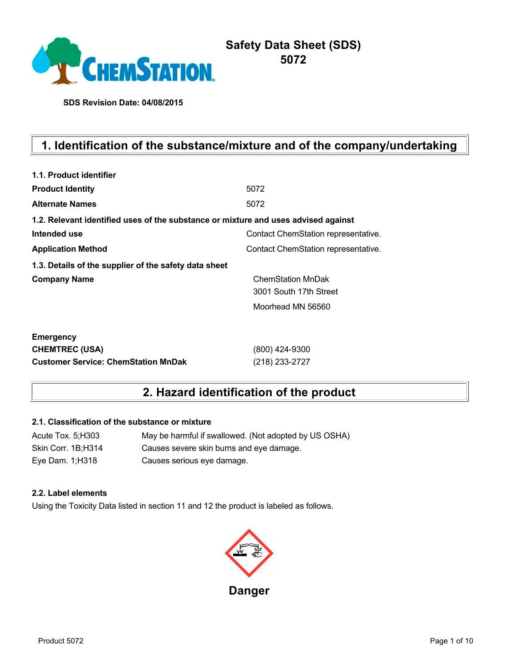

**SDS Revision Date: 04/08/2015**

# **1. Identification of the substance/mixture and of the company/undertaking**

| 1.1. Product identifier                                                            |                                     |
|------------------------------------------------------------------------------------|-------------------------------------|
| <b>Product Identity</b>                                                            | 5072                                |
| <b>Alternate Names</b>                                                             | 5072                                |
| 1.2. Relevant identified uses of the substance or mixture and uses advised against |                                     |
| Intended use                                                                       | Contact ChemStation representative. |
| <b>Application Method</b>                                                          | Contact ChemStation representative. |
| 1.3. Details of the supplier of the safety data sheet                              |                                     |
| <b>Company Name</b>                                                                | <b>ChemStation MnDak</b>            |
|                                                                                    | 3001 South 17th Street              |
|                                                                                    | Moorhead MN 56560                   |
| <b>Emergency</b>                                                                   |                                     |
| <b>CHEMTREC (USA)</b>                                                              | (800) 424-9300                      |
| <b>Customer Service: ChemStation MnDak</b>                                         | (218) 233-2727                      |

## **2. Hazard identification of the product**

### **2.1. Classification of the substance or mixture**

| Acute Tox. 5; H303 | May be harmful if swallowed. (Not adopted by US OSHA) |
|--------------------|-------------------------------------------------------|
| Skin Corr. 1B;H314 | Causes severe skin burns and eye damage.              |
| Eye Dam. 1; H318   | Causes serious eye damage.                            |

### **2.2. Label elements**

Using the Toxicity Data listed in section 11 and 12 the product is labeled as follows.

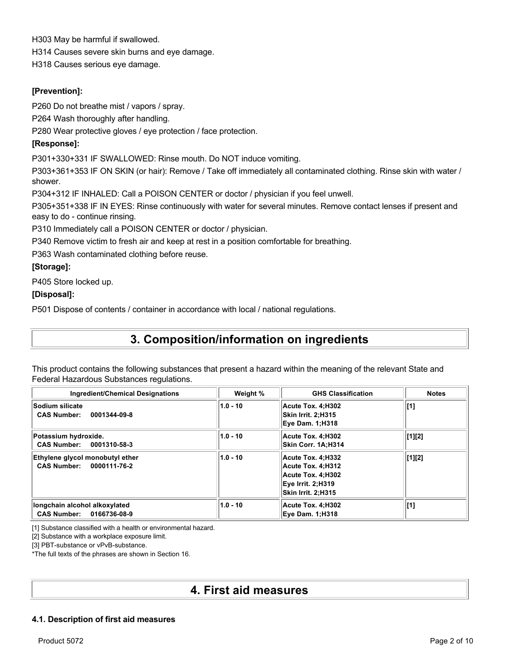H303 May be harmful if swallowed. H314 Causes severe skin burns and eye damage. H318 Causes serious eye damage.

### **[Prevention]:**

P260 Do not breathe mist / vapors / spray.

P264 Wash thoroughly after handling.

P280 Wear protective gloves / eye protection / face protection.

### **[Response]:**

P301+330+331 IF SWALLOWED: Rinse mouth. Do NOT induce vomiting.

P303+361+353 IF ON SKIN (or hair): Remove / Take off immediately all contaminated clothing. Rinse skin with water / shower.

P304+312 IF INHALED: Call a POISON CENTER or doctor / physician if you feel unwell.

P305+351+338 IF IN EYES: Rinse continuously with water for several minutes. Remove contact lenses if present and easy to do - continue rinsing.

P310 Immediately call a POISON CENTER or doctor / physician.

P340 Remove victim to fresh air and keep at rest in a position comfortable for breathing.

P363 Wash contaminated clothing before reuse.

### **[Storage]:**

P405 Store locked up.

### **[Disposal]:**

P501 Dispose of contents / container in accordance with local / national regulations.

## **3. Composition/information on ingredients**

This product contains the following substances that present a hazard within the meaning of the relevant State and Federal Hazardous Substances regulations.

| <b>Ingredient/Chemical Designations</b>                             | Weight %   | <b>GHS Classification</b>                                                                              | <b>Notes</b>   |
|---------------------------------------------------------------------|------------|--------------------------------------------------------------------------------------------------------|----------------|
| <b>Sodium silicate</b><br><b>CAS Number:</b><br>0001344-09-8        | $1.0 - 10$ | Acute Tox. 4:H302<br>Skin Irrit. 2:H315<br><b>Eve Dam. 1:H318</b>                                      | [1]            |
| Potassium hydroxide.<br><b>CAS Number:</b><br>0001310-58-3          | $1.0 - 10$ | Acute Tox. 4:H302<br><b>Skin Corr. 1A:H314</b>                                                         | [1][2]         |
| Ethylene glycol monobutyl ether<br>CAS Number: 0000111-76-2         | $1.0 - 10$ | Acute Tox. 4:H332<br>Acute Tox. 4:H312<br>Acute Tox. 4:H302<br>Eve Irrit. 2:H319<br>Skin Irrit. 2:H315 | $\vert [1][2]$ |
| longchain alcohol alkoxylated<br><b>CAS Number:</b><br>0166736-08-9 | $1.0 - 10$ | Acute Tox. 4:H302<br><b>Eve Dam. 1:H318</b>                                                            | [1]            |

[1] Substance classified with a health or environmental hazard.

[2] Substance with a workplace exposure limit.

[3] PBT-substance or vPvB-substance.

\*The full texts of the phrases are shown in Section 16.

## **4. First aid measures**

### **4.1. Description of first aid measures**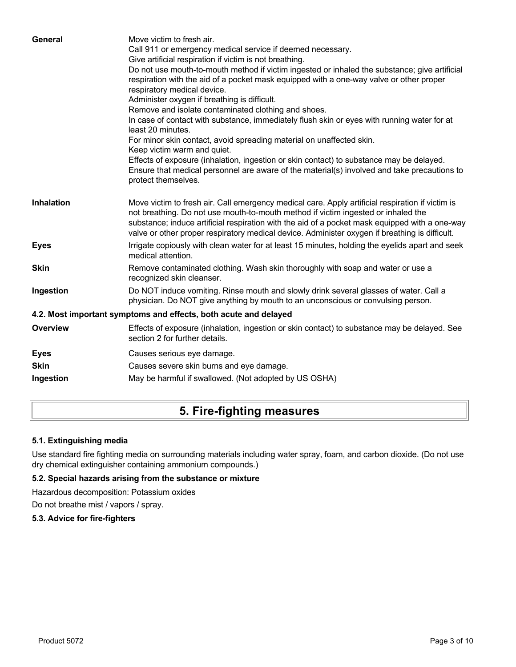| General           | Move victim to fresh air.<br>Call 911 or emergency medical service if deemed necessary.                                                                                                                                                                                                                                                                                                   |
|-------------------|-------------------------------------------------------------------------------------------------------------------------------------------------------------------------------------------------------------------------------------------------------------------------------------------------------------------------------------------------------------------------------------------|
|                   | Give artificial respiration if victim is not breathing.                                                                                                                                                                                                                                                                                                                                   |
|                   | Do not use mouth-to-mouth method if victim ingested or inhaled the substance; give artificial                                                                                                                                                                                                                                                                                             |
|                   | respiration with the aid of a pocket mask equipped with a one-way valve or other proper<br>respiratory medical device.                                                                                                                                                                                                                                                                    |
|                   | Administer oxygen if breathing is difficult.                                                                                                                                                                                                                                                                                                                                              |
|                   | Remove and isolate contaminated clothing and shoes.                                                                                                                                                                                                                                                                                                                                       |
|                   | In case of contact with substance, immediately flush skin or eyes with running water for at<br>least 20 minutes.                                                                                                                                                                                                                                                                          |
|                   | For minor skin contact, avoid spreading material on unaffected skin.<br>Keep victim warm and quiet.                                                                                                                                                                                                                                                                                       |
|                   | Effects of exposure (inhalation, ingestion or skin contact) to substance may be delayed.<br>Ensure that medical personnel are aware of the material(s) involved and take precautions to<br>protect themselves.                                                                                                                                                                            |
| <b>Inhalation</b> | Move victim to fresh air. Call emergency medical care. Apply artificial respiration if victim is<br>not breathing. Do not use mouth-to-mouth method if victim ingested or inhaled the<br>substance; induce artificial respiration with the aid of a pocket mask equipped with a one-way<br>valve or other proper respiratory medical device. Administer oxygen if breathing is difficult. |
| <b>Eyes</b>       | Irrigate copiously with clean water for at least 15 minutes, holding the eyelids apart and seek<br>medical attention.                                                                                                                                                                                                                                                                     |
| <b>Skin</b>       | Remove contaminated clothing. Wash skin thoroughly with soap and water or use a<br>recognized skin cleanser.                                                                                                                                                                                                                                                                              |
| Ingestion         | Do NOT induce vomiting. Rinse mouth and slowly drink several glasses of water. Call a<br>physician. Do NOT give anything by mouth to an unconscious or convulsing person.                                                                                                                                                                                                                 |
|                   | 4.2. Most important symptoms and effects, both acute and delayed                                                                                                                                                                                                                                                                                                                          |
| <b>Overview</b>   | Effects of exposure (inhalation, ingestion or skin contact) to substance may be delayed. See<br>section 2 for further details.                                                                                                                                                                                                                                                            |
| <b>Eyes</b>       | Causes serious eye damage.                                                                                                                                                                                                                                                                                                                                                                |
| <b>Skin</b>       | Causes severe skin burns and eye damage.                                                                                                                                                                                                                                                                                                                                                  |
| Ingestion         | May be harmful if swallowed. (Not adopted by US OSHA)                                                                                                                                                                                                                                                                                                                                     |
|                   |                                                                                                                                                                                                                                                                                                                                                                                           |

# **5. Fire-fighting measures**

### **5.1. Extinguishing media**

Use standard fire fighting media on surrounding materials including water spray, foam, and carbon dioxide. (Do not use dry chemical extinguisher containing ammonium compounds.)

### **5.2. Special hazards arising from the substance or mixture**

Hazardous decomposition: Potassium oxides

Do not breathe mist / vapors / spray.

### **5.3. Advice for fire-fighters**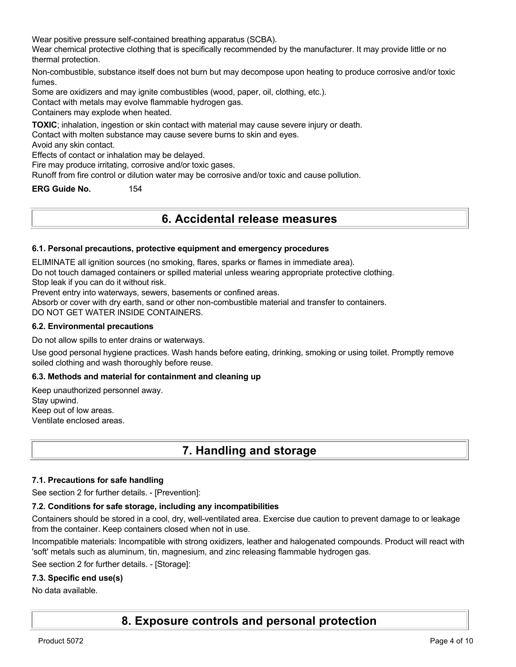Wear positive pressure self-contained breathing apparatus (SCBA).

Wear chemical protective clothing that is specifically recommended by the manufacturer. It may provide little or no thermal protection.

Non-combustible, substance itself does not burn but may decompose upon heating to produce corrosive and/or toxic fumes.

Some are oxidizers and may ignite combustibles (wood, paper, oil, clothing, etc.).

Contact with metals may evolve flammable hydrogen gas.

Containers may explode when heated.

**TOXIC**; inhalation, ingestion or skin contact with material may cause severe injury or death.

Contact with molten substance may cause severe burns to skin and eyes.

Avoid any skin contact.

Effects of contact or inhalation may be delayed.

Fire may produce irritating, corrosive and/or toxic gases.

Runoff from fire control or dilution water may be corrosive and/or toxic and cause pollution.

**ERG Guide No.** 154

### **6. Accidental release measures**

### **6.1. Personal precautions, protective equipment and emergency procedures**

ELIMINATE all ignition sources (no smoking, flares, sparks or flames in immediate area).

Do not touch damaged containers or spilled material unless wearing appropriate protective clothing.

Stop leak if you can do it without risk.

Prevent entry into waterways, sewers, basements or confined areas.

Absorb or cover with dry earth, sand or other non-combustible material and transfer to containers.

DO NOT GET WATER INSIDE CONTAINERS.

### **6.2. Environmental precautions**

Do not allow spills to enter drains or waterways.

Use good personal hygiene practices. Wash hands before eating, drinking, smoking or using toilet. Promptly remove soiled clothing and wash thoroughly before reuse.

### **6.3. Methods and material for containment and cleaning up**

Keep unauthorized personnel away. Stay upwind. Keep out of low areas. Ventilate enclosed areas.

## **7. Handling and storage**

### **7.1. Precautions for safe handling**

See section 2 for further details. - [Prevention]:

### **7.2. Conditions for safe storage, including any incompatibilities**

Containers should be stored in a cool, dry, well-ventilated area. Exercise due caution to prevent damage to or leakage from the container. Keep containers closed when not in use.

Incompatible materials: Incompatible with strong oxidizers, leather and halogenated compounds. Product will react with 'soft' metals such as aluminum, tin, magnesium, and zinc releasing flammable hydrogen gas.

See section 2 for further details. - [Storage]:

### **7.3. Specific end use(s)**

No data available.

## **8. Exposure controls and personal protection**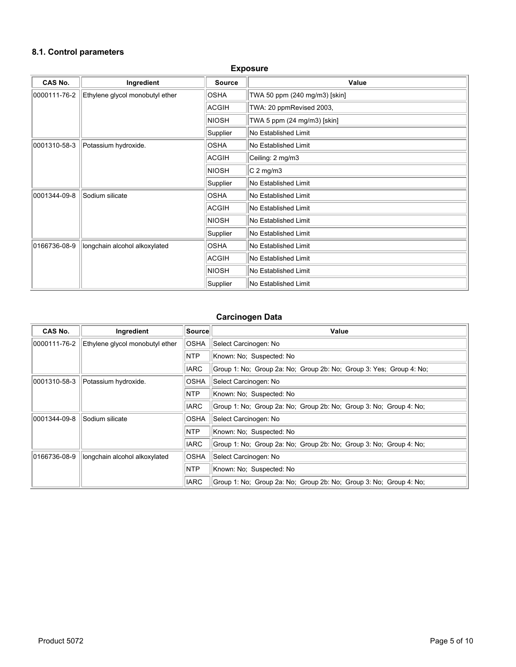### **8.1. Control parameters**

| <b>Exposure</b> |                                 |               |                               |  |  |
|-----------------|---------------------------------|---------------|-------------------------------|--|--|
| <b>CAS No.</b>  | Ingredient                      | <b>Source</b> | Value                         |  |  |
| 0000111-76-2    | Ethylene glycol monobutyl ether | <b>OSHA</b>   | TWA 50 ppm (240 mg/m3) [skin] |  |  |
|                 |                                 | ACGIH         | TWA: 20 ppmRevised 2003,      |  |  |
|                 |                                 | <b>NIOSH</b>  | TWA 5 ppm (24 mg/m3) [skin]   |  |  |
|                 |                                 | Supplier      | No Established Limit          |  |  |
| 0001310-58-3    | Potassium hydroxide.            | <b>OSHA</b>   | No Established Limit          |  |  |
|                 |                                 | ACGIH         | Ceiling: 2 mg/m3              |  |  |
|                 |                                 | NIOSH         | $C2$ mg/m3                    |  |  |
|                 |                                 | Supplier      | No Established Limit          |  |  |
| 0001344-09-8    | Sodium silicate                 | <b>OSHA</b>   | No Established Limit          |  |  |
|                 |                                 | ACGIH         | No Established Limit          |  |  |
|                 |                                 | <b>NIOSH</b>  | No Established Limit          |  |  |
|                 |                                 | Supplier      | No Established Limit          |  |  |
| 0166736-08-9    | longchain alcohol alkoxylated   | <b>OSHA</b>   | No Established Limit          |  |  |
|                 |                                 | ACGIH         | No Established Limit          |  |  |
|                 |                                 | <b>NIOSH</b>  | No Established Limit          |  |  |
|                 |                                 | Supplier      | No Established Limit          |  |  |

### **Carcinogen Data**

| CAS No.      | Ingredient                      | Source      | Value                                                               |  |
|--------------|---------------------------------|-------------|---------------------------------------------------------------------|--|
| 0000111-76-2 | Ethylene glycol monobutyl ether | <b>OSHA</b> | Select Carcinogen: No                                               |  |
|              |                                 | <b>NTP</b>  | Known: No: Suspected: No                                            |  |
|              |                                 | <b>IARC</b> | Group 1: No; Group 2a: No; Group 2b: No; Group 3: Yes; Group 4: No; |  |
| 0001310-58-3 | Potassium hydroxide.            | OSHA        | Select Carcinogen: No                                               |  |
|              |                                 | NTP         | Known: No; Suspected: No                                            |  |
|              |                                 | <b>IARC</b> | Group 1: No; Group 2a: No; Group 2b: No; Group 3: No; Group 4: No;  |  |
| 0001344-09-8 | Sodium silicate                 | OSHA        | Select Carcinogen: No                                               |  |
|              |                                 | <b>NTP</b>  | Known: No: Suspected: No                                            |  |
|              |                                 | <b>IARC</b> | Group 1: No: Group 2a: No: Group 2b: No: Group 3: No: Group 4: No:  |  |
| 0166736-08-9 | longchain alcohol alkoxylated   | <b>OSHA</b> | Select Carcinogen: No                                               |  |
|              |                                 | NTP         | Known: No; Suspected: No                                            |  |
|              |                                 | <b>IARC</b> | Group 1: No: Group 2a: No: Group 2b: No: Group 3: No: Group 4: No:  |  |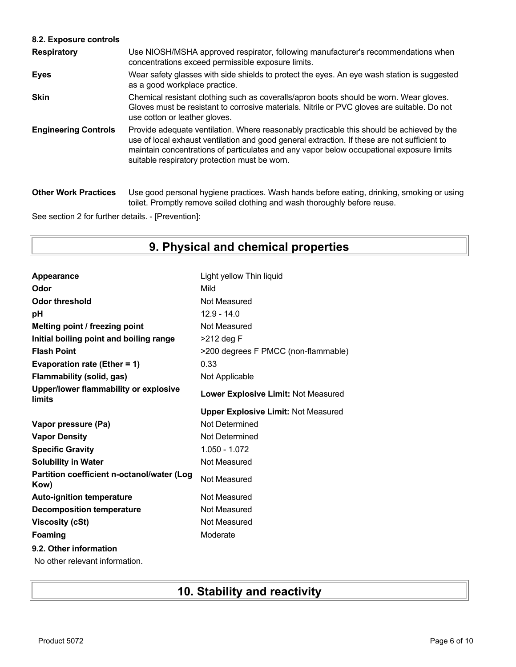### **8.2. Exposure controls**

| <b>Respiratory</b>          | Use NIOSH/MSHA approved respirator, following manufacturer's recommendations when<br>concentrations exceed permissible exposure limits.                                                                                                                                                                                                |
|-----------------------------|----------------------------------------------------------------------------------------------------------------------------------------------------------------------------------------------------------------------------------------------------------------------------------------------------------------------------------------|
| <b>Eyes</b>                 | Wear safety glasses with side shields to protect the eyes. An eye wash station is suggested<br>as a good workplace practice.                                                                                                                                                                                                           |
| <b>Skin</b>                 | Chemical resistant clothing such as coveralls/apron boots should be worn. Wear gloves.<br>Gloves must be resistant to corrosive materials. Nitrile or PVC gloves are suitable. Do not<br>use cotton or leather gloves.                                                                                                                 |
| <b>Engineering Controls</b> | Provide adequate ventilation. Where reasonably practicable this should be achieved by the<br>use of local exhaust ventilation and good general extraction. If these are not sufficient to<br>maintain concentrations of particulates and any vapor below occupational exposure limits<br>suitable respiratory protection must be worn. |
| <b>Other Work Practices</b> | Use good personal hygiene practices. Wash hands before eating, drinking, smoking or using<br>toilet. Promptly remove soiled clothing and wash thoroughly before reuse.                                                                                                                                                                 |

See section 2 for further details. - [Prevention]:

# **9. Physical and chemical properties**

| Appearance                                         | Light yellow Thin liquid                   |
|----------------------------------------------------|--------------------------------------------|
| Odor                                               | Mild                                       |
| <b>Odor threshold</b>                              | Not Measured                               |
| рH                                                 | $12.9 - 14.0$                              |
| Melting point / freezing point                     | Not Measured                               |
| Initial boiling point and boiling range            | >212 deg F                                 |
| <b>Flash Point</b>                                 | >200 degrees F PMCC (non-flammable)        |
| Evaporation rate (Ether = 1)                       | 0.33                                       |
| <b>Flammability (solid, gas)</b>                   | Not Applicable                             |
| Upper/lower flammability or explosive<br>limits    | Lower Explosive Limit: Not Measured        |
|                                                    | <b>Upper Explosive Limit: Not Measured</b> |
| Vapor pressure (Pa)                                | Not Determined                             |
| <b>Vapor Density</b>                               | Not Determined                             |
| <b>Specific Gravity</b>                            | $1.050 - 1.072$                            |
| <b>Solubility in Water</b>                         | Not Measured                               |
| Partition coefficient n-octanol/water (Log<br>Kow) | Not Measured                               |
| <b>Auto-ignition temperature</b>                   | Not Measured                               |
| <b>Decomposition temperature</b>                   | Not Measured                               |
| <b>Viscosity (cSt)</b>                             | Not Measured                               |
| Foaming                                            | Moderate                                   |
| 9.2. Other information                             |                                            |
| No other relevant information.                     |                                            |

# **10. Stability and reactivity**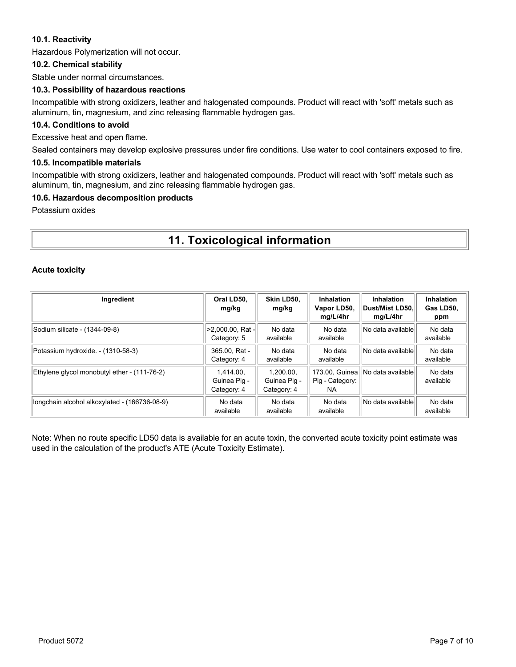### **10.1. Reactivity**

Hazardous Polymerization will not occur.

### **10.2. Chemical stability**

Stable under normal circumstances.

### **10.3. Possibility of hazardous reactions**

Incompatible with strong oxidizers, leather and halogenated compounds. Product will react with 'soft' metals such as aluminum, tin, magnesium, and zinc releasing flammable hydrogen gas.

### **10.4. Conditions to avoid**

Excessive heat and open flame.

Sealed containers may develop explosive pressures under fire conditions. Use water to cool containers exposed to fire.

### **10.5. Incompatible materials**

Incompatible with strong oxidizers, leather and halogenated compounds. Product will react with 'soft' metals such as aluminum, tin, magnesium, and zinc releasing flammable hydrogen gas.

### **10.6. Hazardous decomposition products**

Potassium oxides

# **11. Toxicological information**

### **Acute toxicity**

| Ingredient                                    | Oral LD50.<br>mg/kg                      | Skin LD50.<br>mg/kg                      | <b>Inhalation</b><br>Vapor LD50,<br>mg/L/4hr | <b>Inhalation</b><br>∣Dust/Mist LD50.∣<br>mg/L/4hr | Inhalation<br>Gas LD50,<br>ppm |
|-----------------------------------------------|------------------------------------------|------------------------------------------|----------------------------------------------|----------------------------------------------------|--------------------------------|
| Sodium silicate - (1344-09-8)                 | >2,000.00, Rat -<br>Category: 5          | No data<br>available                     | No data<br>available                         | No data available                                  | No data<br>available           |
| Potassium hydroxide. - (1310-58-3)            | 365.00, Rat -<br>Category: 4             | No data<br>available                     | No data<br>available                         | No data availablel                                 | No data<br>available           |
| Ethylene glycol monobutyl ether - (111-76-2)  | 1.414.00.<br>Guinea Pig -<br>Category: 4 | 1.200.00.<br>Guinea Pig -<br>Category: 4 | 173.00. Guinea<br>Pig - Category:<br>NA.     | No data availablel                                 | No data<br>available           |
| longchain alcohol alkoxylated - (166736-08-9) | No data<br>available                     | No data<br>available                     | No data<br>available                         | No data availablel                                 | No data<br>available           |

Note: When no route specific LD50 data is available for an acute toxin, the converted acute toxicity point estimate was used in the calculation of the product's ATE (Acute Toxicity Estimate).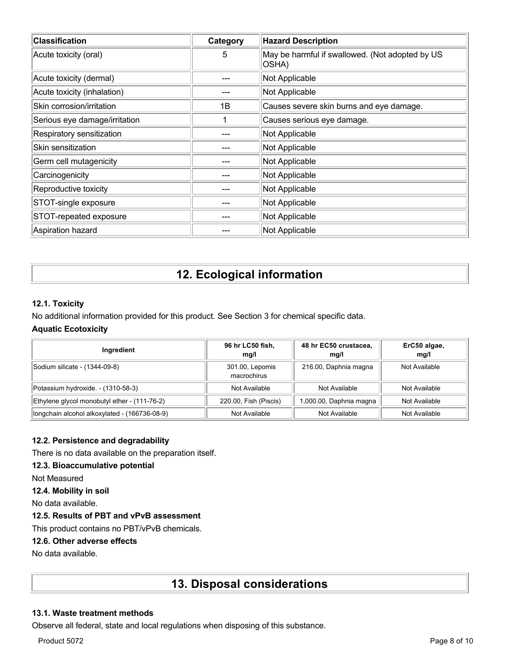| <b>Classification</b>         | Category | <b>Hazard Description</b>                                |
|-------------------------------|----------|----------------------------------------------------------|
| Acute toxicity (oral)         | 5        | May be harmful if swallowed. (Not adopted by US<br>OSHA) |
| Acute toxicity (dermal)       |          | Not Applicable                                           |
| Acute toxicity (inhalation)   |          | Not Applicable                                           |
| Skin corrosion/irritation     | 1B       | Causes severe skin burns and eye damage.                 |
| Serious eye damage/irritation |          | Causes serious eye damage.                               |
| Respiratory sensitization     |          | Not Applicable                                           |
| Skin sensitization            |          | Not Applicable                                           |
| Germ cell mutagenicity        |          | Not Applicable                                           |
| Carcinogenicity               |          | Not Applicable                                           |
| Reproductive toxicity         |          | Not Applicable                                           |
| STOT-single exposure          |          | Not Applicable                                           |
| STOT-repeated exposure        |          | Not Applicable                                           |
| Aspiration hazard             |          | Not Applicable                                           |

# **12. Ecological information**

### **12.1. Toxicity**

No additional information provided for this product. See Section 3 for chemical specific data.

### **Aquatic Ecotoxicity**

| Ingredient                                    | 96 hr LC50 fish,<br>mq/l       | 48 hr EC50 crustacea,<br>mq/l | ErC50 algae,<br>mq/l |
|-----------------------------------------------|--------------------------------|-------------------------------|----------------------|
| Sodium silicate - (1344-09-8)                 | 301.00, Lepomis<br>macrochirus | 216.00, Daphnia magna         | Not Available        |
| Potassium hydroxide. - (1310-58-3)            | Not Available                  | Not Available                 | Not Available        |
| Ethylene glycol monobutyl ether - (111-76-2)  | 220.00, Fish (Piscis)          | 1,000.00, Daphnia magna       | Not Available        |
| longchain alcohol alkoxylated - (166736-08-9) | Not Available                  | Not Available                 | Not Available        |

### **12.2. Persistence and degradability**

There is no data available on the preparation itself.

### **12.3. Bioaccumulative potential**

Not Measured

**12.4. Mobility in soil**

No data available.

### **12.5. Results of PBT and vPvB assessment**

This product contains no PBT/vPvB chemicals.

### **12.6. Other adverse effects**

No data available.

### **13. Disposal considerations**

### **13.1. Waste treatment methods**

Observe all federal, state and local regulations when disposing of this substance.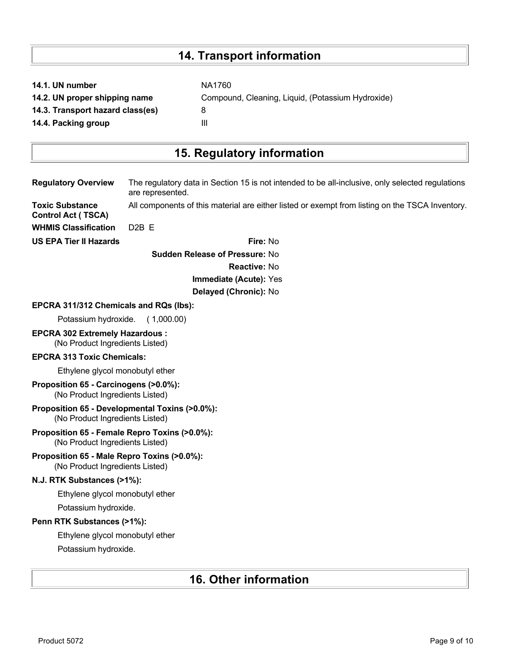# **14. Transport information**

|  |  | 14.1. UN number |
|--|--|-----------------|
|  |  |                 |

**14.3. Transport hazard class(es)** 8

**14.4. Packing group III** 

**NA1760 14.2. UN proper shipping name** Compound, Cleaning, Liquid, (Potassium Hydroxide)

# **15. Regulatory information**

| <b>Regulatory Overview</b>                                                        | The regulatory data in Section 15 is not intended to be all-inclusive, only selected regulations<br>are represented. |
|-----------------------------------------------------------------------------------|----------------------------------------------------------------------------------------------------------------------|
| <b>Toxic Substance</b><br><b>Control Act (TSCA)</b>                               | All components of this material are either listed or exempt from listing on the TSCA Inventory.                      |
| <b>WHMIS Classification</b>                                                       | D <sub>2</sub> B E                                                                                                   |
| <b>US EPA Tier II Hazards</b>                                                     | Fire: No                                                                                                             |
| <b>Sudden Release of Pressure: No</b>                                             |                                                                                                                      |
|                                                                                   | <b>Reactive: No</b>                                                                                                  |
|                                                                                   | Immediate (Acute): Yes                                                                                               |
|                                                                                   | Delayed (Chronic): No                                                                                                |
| EPCRA 311/312 Chemicals and RQs (lbs):                                            |                                                                                                                      |
| Potassium hydroxide.                                                              | (1,000.00)                                                                                                           |
| <b>EPCRA 302 Extremely Hazardous:</b><br>(No Product Ingredients Listed)          |                                                                                                                      |
| <b>EPCRA 313 Toxic Chemicals:</b>                                                 |                                                                                                                      |
| Ethylene glycol monobutyl ether                                                   |                                                                                                                      |
| Proposition 65 - Carcinogens (>0.0%):<br>(No Product Ingredients Listed)          |                                                                                                                      |
| Proposition 65 - Developmental Toxins (>0.0%):<br>(No Product Ingredients Listed) |                                                                                                                      |
| Proposition 65 - Female Repro Toxins (>0.0%):<br>(No Product Ingredients Listed)  |                                                                                                                      |
| Proposition 65 - Male Repro Toxins (>0.0%):<br>(No Product Ingredients Listed)    |                                                                                                                      |
| N.J. RTK Substances (>1%):                                                        |                                                                                                                      |
| Ethylene glycol monobutyl ether                                                   |                                                                                                                      |
| Potassium hydroxide.                                                              |                                                                                                                      |
| Penn RTK Substances (>1%):                                                        |                                                                                                                      |
| Ethylene glycol monobutyl ether                                                   |                                                                                                                      |
| Potassium hydroxide.                                                              |                                                                                                                      |
|                                                                                   |                                                                                                                      |

# **16. Other information**